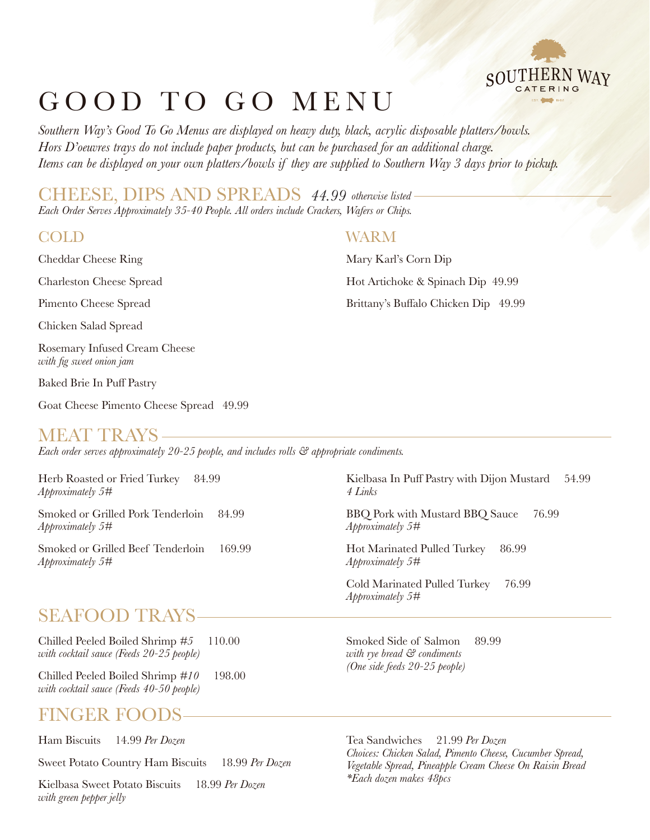

*Southern Way's Good To Go Menus are displayed on heavy duty, black, acrylic disposable platters/bowls. Hors D'oeuvres trays do not include paper products, but can be purchased for an additional charge. Items can be displayed on your own platters/bowls if they are supplied to Southern Way 3 days prior to pickup.*

*Each Order Serves Approximately 35-40 People. All orders include Crackers, Wafers or Chips.* CHEESE, DIPS AND SPREADS *44.99 otherwise listed*

Cheddar Cheese Ring

Charleston Cheese Spread

Pimento Cheese Spread

Chicken Salad Spread

Rosemary Infused Cream Cheese *with fig sweet onion jam*

Baked Brie In Puff Pastry

Goat Cheese Pimento Cheese Spread 49.99

### MEAT TRAYS

*Each order serves approximately 20-25 people, and includes rolls & appropriate condiments.*

Herb Roasted or Fried Turkey 84.99 *Approximately 5#*

Smoked or Grilled Pork Tenderloin 84.99 *Approximately 5#*

Smoked or Grilled Beef Tenderloin 169.99 *Approximately 5#*

# SEAFOOD TRAYS

Chilled Peeled Boiled Shrimp *#5* 110.00 *with cocktail sauce (Feeds 20-25 people)*

Chilled Peeled Boiled Shrimp *#10* 198.00 *with cocktail sauce (Feeds 40-50 people)*

# FINGER FOO

Ham Biscuits 14.99 *Per Dozen*

Sweet Potato Country Ham Biscuits 18.99 *Per Dozen*

Kielbasa Sweet Potato Biscuits 18.99 *Per Dozen with green pepper jelly*

#### COLD WARM

Mary Karl's Corn Dip Hot Artichoke & Spinach Dip 49.99 Brittany's Buffalo Chicken Dip 49.99

Kielbasa In Puff Pastry with Dijon Mustard 54.99 *4 Links*

BBQ Pork with Mustard BBQ Sauce 76.99 *Approximately 5#*

Hot Marinated Pulled Turkey 86.99 *Approximately 5#*

Cold Marinated Pulled Turkey 76.99 *Approximately 5#*

Smoked Side of Salmon 89.99 *with rye bread & condiments (One side feeds 20-25 people)*

Tea Sandwiches 21.99 *Per Dozen Choices: Chicken Salad, Pimento Cheese, Cucumber Spread, Vegetable Spread, Pineapple Cream Cheese On Raisin Bread \*Each dozen makes 48pcs*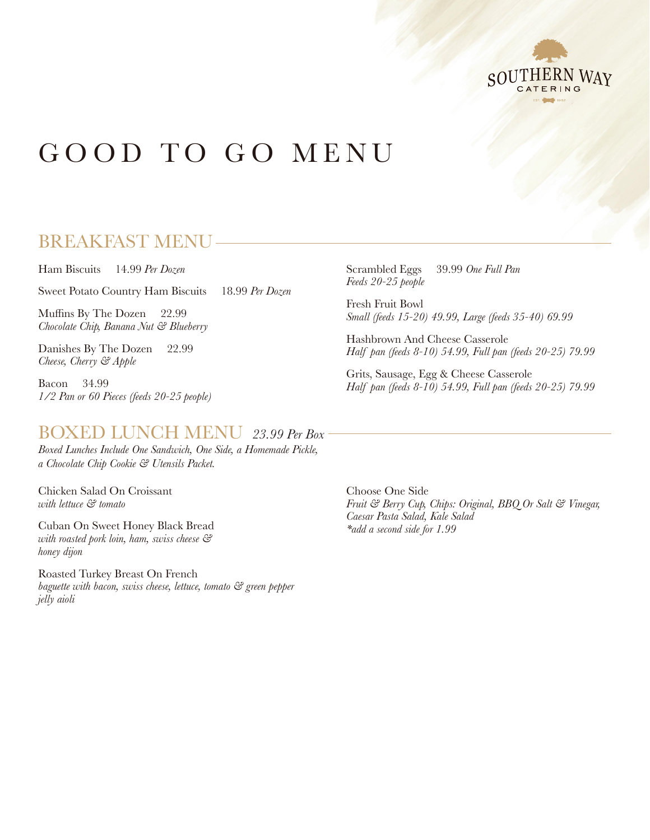

# BREAKFAST MENU

Ham Biscuits 14.99 *Per Dozen*

Sweet Potato Country Ham Biscuits 18.99 *Per Dozen*

Muffins By The Dozen 22.99 *Chocolate Chip, Banana Nut & Blueberry*

Danishes By The Dozen 22.99 *Cheese, Cherry & Apple*

Bacon 34.99 *1/2 Pan or 60 Pieces (feeds 20-25 people)*

# BOXED LUNCH MENU *23.99 Per Box*

*Boxed Lunches Include One Sandwich, One Side, a Homemade Pickle, a Chocolate Chip Cookie & Utensils Packet.*

Chicken Salad On Croissant *with lettuce & tomato*

Cuban On Sweet Honey Black Bread *with roasted pork loin, ham, swiss cheese & honey dijon*

Roasted Turkey Breast On French *baguette with bacon, swiss cheese, lettuce, tomato & green pepper jelly aioli*

Scrambled Eggs 39.99 *One Full Pan Feeds 20-25 people*

Fresh Fruit Bowl *Small (feeds 15-20) 49.99, Large (feeds 35-40) 69.99*

Hashbrown And Cheese Casserole *Half pan (feeds 8-10) 54.99, Full pan (feeds 20-25) 79.99*

Grits, Sausage, Egg & Cheese Casserole *Half pan (feeds 8-10) 54.99, Full pan (feeds 20-25) 79.99*

Choose One Side *Fruit & Berry Cup, Chips: Original, BBQ Or Salt & Vinegar, Caesar Pasta Salad, Kale Salad \*add a second side for 1.99*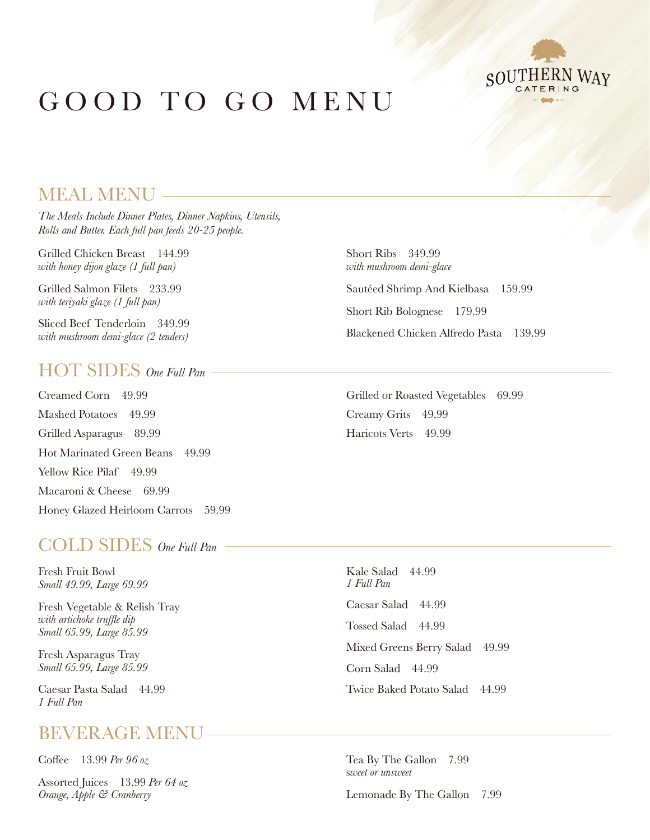

# MEAL MENU

*The Meals Include Dinner Plates, Dinner Napkins, Utensils, Rolls and Butter. Each full pan feeds 20-25 people.*

Grilled Chicken Breast 144.99 *with honey dijon glaze (1 full pan)*

Grilled Salmon Filets 233.99 *with teriyaki glaze (1 full pan)*

Sliced Beef Tenderloin 349.99 *with mushroom demi-glace (2 tenders)*

#### HOT SIDES *One Full Pan*

Creamed Corn 49.99 Mashed Potatoes 49.99 Grilled Asparagus 89.99 Hot Marinated Green Beans 49.99 Yellow Rice Pilaf 49.99 Macaroni & Cheese 69.99 Honey Glazed Heirloom Carrots 59.99

#### COLD SIDES *One Full Pan*

Fresh Fruit Bowl *Small 49.99, Large 69.99*

Fresh Vegetable & Relish Tray *with artichoke truffle dip Small 65.99, Large 85.99*

Fresh Asparagus Tray *Small 65.99, Large 85.99*

Caesar Pasta Salad 44.99 *1 Full Pan*

### BEVERAGE MENU

Coffee 13.99 *Per 96 oz*

Assorted Juices 13.99 *Per 64 oz Orange, Apple & Cranberry*

Short Ribs 349.99 *with mushroom demi-glace* Sautéed Shrimp And Kielbasa 159.99 Short Rib Bolognese 179.99 Blackened Chicken Alfredo Pasta 139.99

Grilled or Roasted Vegetables 69.99 Creamy Grits 49.99 Haricots Verts 49.99

Kale Salad 44.99 *1 Full Pan* Caesar Salad 44.99 Tossed Salad 44.99 Mixed Greens Berry Salad 49.99 Corn Salad 44.99 Twice Baked Potato Salad 44.99

Tea By The Gallon 7.99 s*weet or unsweet*

Lemonade By The Gallon 7.99